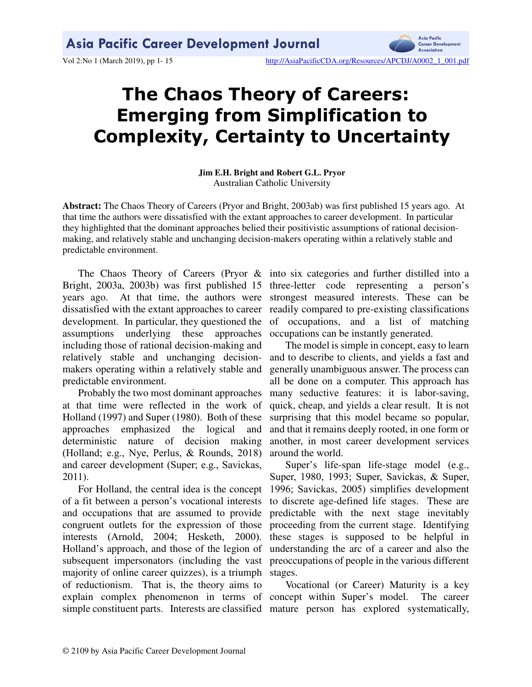

Vol 2:No 1 (March 2019), pp 1-15 http://AsiaPacificCDA.org/Resources/APCDJ/A0002\_1\_001.pdf

# **The Chaos Theory of Careers: Emerging from Simplification to Complexity, Certainty to Uncertainty**

**Jim E.H. Bright and Robert G.L. Pryor**  Australian Catholic University

**Abstract:** The Chaos Theory of Careers (Pryor and Bright, 2003ab) was first published 15 years ago. At that time the authors were dissatisfied with the extant approaches to career development. In particular they highlighted that the dominant approaches belied their positivistic assumptions of rational decisionmaking, and relatively stable and unchanging decision-makers operating within a relatively stable and predictable environment.

Bright, 2003a, 2003b) was first published 15 years ago. At that time, the authors were dissatisfied with the extant approaches to career development. In particular, they questioned the assumptions underlying these approaches including those of rational decision-making and relatively stable and unchanging decisionmakers operating within a relatively stable and predictable environment.

Probably the two most dominant approaches at that time were reflected in the work of Holland (1997) and Super (1980). Both of these approaches emphasized the logical and deterministic nature of decision making (Holland; e.g., Nye, Perlus, & Rounds, 2018) and career development (Super; e.g., Savickas, 2011).

For Holland, the central idea is the concept of a fit between a person's vocational interests and occupations that are assumed to provide congruent outlets for the expression of those interests (Arnold, 2004; Hesketh, 2000). Holland's approach, and those of the legion of subsequent impersonators (including the vast majority of online career quizzes), is a triumph of reductionism. That is, the theory aims to explain complex phenomenon in terms of concept within Super's model. The career

The Chaos Theory of Careers (Pryor & into six categories and further distilled into a three-letter code representing a person's strongest measured interests. These can be readily compared to pre-existing classifications of occupations, and a list of matching occupations can be instantly generated.

> The model is simple in concept, easy to learn and to describe to clients, and yields a fast and generally unambiguous answer. The process can all be done on a computer. This approach has many seductive features: it is labor-saving, quick, cheap, and yields a clear result. It is not surprising that this model became so popular, and that it remains deeply rooted, in one form or another, in most career development services around the world.

> Super's life-span life-stage model (e.g., Super, 1980, 1993; Super, Savickas, & Super, 1996; Savickas, 2005) simplifies development to discrete age-defined life stages. These are predictable with the next stage inevitably proceeding from the current stage. Identifying these stages is supposed to be helpful in understanding the arc of a career and also the preoccupations of people in the various different stages.

simple constituent parts. Interests are classified mature person has explored systematically, Vocational (or Career) Maturity is a key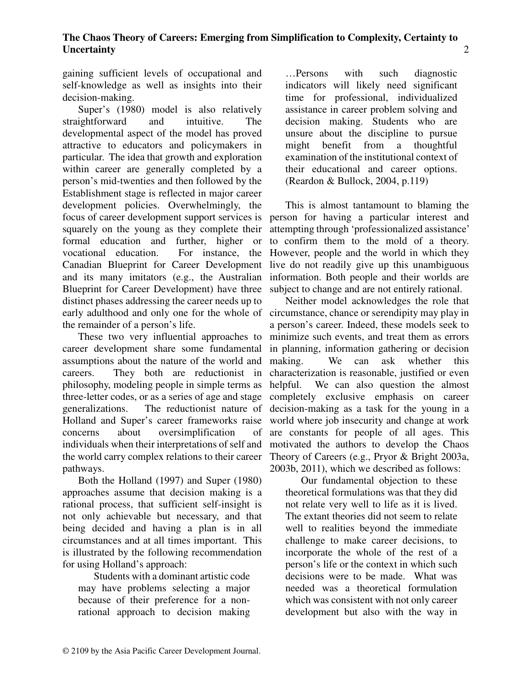gaining sufficient levels of occupational and self-knowledge as well as insights into their decision-making.

Super's (1980) model is also relatively straightforward and intuitive. The developmental aspect of the model has proved attractive to educators and policymakers in particular. The idea that growth and exploration within career are generally completed by a person's mid-twenties and then followed by the Establishment stage is reflected in major career development policies. Overwhelmingly, the focus of career development support services is person for having a particular interest and squarely on the young as they complete their formal education and further, higher or vocational education. For instance, the Canadian Blueprint for Career Development and its many imitators (e.g., the Australian Blueprint for Career Development) have three distinct phases addressing the career needs up to early adulthood and only one for the whole of circumstance, chance or serendipity may play in the remainder of a person's life.

These two very influential approaches to career development share some fundamental assumptions about the nature of the world and careers. They both are reductionist in philosophy, modeling people in simple terms as three-letter codes, or as a series of age and stage generalizations. The reductionist nature of Holland and Super's career frameworks raise concerns about oversimplification of individuals when their interpretations of self and the world carry complex relations to their career pathways.

Both the Holland (1997) and Super (1980) approaches assume that decision making is a rational process, that sufficient self-insight is not only achievable but necessary, and that being decided and having a plan is in all circumstances and at all times important. This is illustrated by the following recommendation for using Holland's approach:

Students with a dominant artistic code may have problems selecting a major because of their preference for a nonrational approach to decision making …Persons with such diagnostic indicators will likely need significant time for professional, individualized assistance in career problem solving and decision making. Students who are unsure about the discipline to pursue might benefit from a thoughtful examination of the institutional context of their educational and career options. (Reardon & Bullock, 2004, p.119)

This is almost tantamount to blaming the attempting through 'professionalized assistance' to confirm them to the mold of a theory. However, people and the world in which they live do not readily give up this unambiguous information. Both people and their worlds are subject to change and are not entirely rational.

Neither model acknowledges the role that a person's career. Indeed, these models seek to minimize such events, and treat them as errors in planning, information gathering or decision making. We can ask whether this characterization is reasonable, justified or even helpful. We can also question the almost completely exclusive emphasis on career decision-making as a task for the young in a world where job insecurity and change at work are constants for people of all ages. This motivated the authors to develop the Chaos Theory of Careers (e.g., Pryor & Bright 2003a, 2003b, 2011), which we described as follows:

Our fundamental objection to these theoretical formulations was that they did not relate very well to life as it is lived. The extant theories did not seem to relate well to realities beyond the immediate challenge to make career decisions, to incorporate the whole of the rest of a person's life or the context in which such decisions were to be made. What was needed was a theoretical formulation which was consistent with not only career development but also with the way in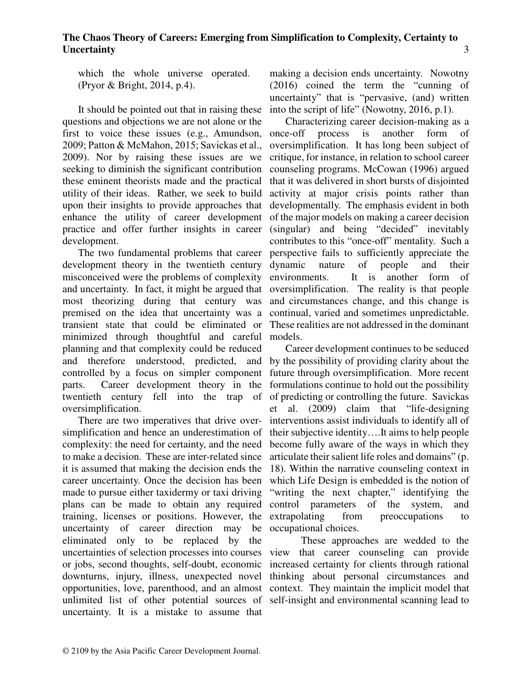which the whole universe operated. (Pryor & Bright, 2014, p.4).

It should be pointed out that in raising these questions and objections we are not alone or the first to voice these issues (e.g., Amundson, 2009; Patton & McMahon, 2015; Savickas et al., 2009). Nor by raising these issues are we seeking to diminish the significant contribution these eminent theorists made and the practical utility of their ideas. Rather, we seek to build upon their insights to provide approaches that enhance the utility of career development practice and offer further insights in career development.

The two fundamental problems that career development theory in the twentieth century misconceived were the problems of complexity environments. and uncertainty. In fact, it might be argued that oversimplification. The reality is that people most theorizing during that century was and circumstances change, and this change is premised on the idea that uncertainty was a transient state that could be eliminated or minimized through thoughtful and careful planning and that complexity could be reduced and therefore understood, predicted, and by the possibility of providing clarity about the controlled by a focus on simpler component parts. Career development theory in the twentieth century fell into the trap of of predicting or controlling the future. Savickas oversimplification.

There are two imperatives that drive oversimplification and hence an underestimation of complexity: the need for certainty, and the need to make a decision. These are inter-related since it is assumed that making the decision ends the career uncertainty. Once the decision has been made to pursue either taxidermy or taxi driving plans can be made to obtain any required control parameters of the system, and training, licenses or positions. However, the uncertainty of career direction may be eliminated only to be replaced by the uncertainties of selection processes into courses view that career counseling can provide or jobs, second thoughts, self-doubt, economic increased certainty for clients through rational downturns, injury, illness, unexpected novel thinking about personal circumstances and opportunities, love, parenthood, and an almost context. They maintain the implicit model that unlimited list of other potential sources of self-insight and environmental scanning lead to uncertainty. It is a mistake to assume that

making a decision ends uncertainty. Nowotny (2016) coined the term the "cunning of uncertainty" that is "pervasive, (and) written into the script of life" (Nowotny, 2016, p.1).

Characterizing career decision-making as a once-off process is another form of oversimplification. It has long been subject of critique, for instance, in relation to school career counseling programs. McCowan (1996) argued that it was delivered in short bursts of disjointed activity at major crisis points rather than developmentally. The emphasis evident in both of the major models on making a career decision (singular) and being "decided" inevitably contributes to this "once-off" mentality. Such a perspective fails to sufficiently appreciate the dynamic nature of people and their It is another form of continual, varied and sometimes unpredictable. These realities are not addressed in the dominant models.

Career development continues to be seduced future through oversimplification. More recent formulations continue to hold out the possibility et al. (2009) claim that "life-designing interventions assist individuals to identify all of their subjective identity….It aims to help people become fully aware of the ways in which they articulate their salient life roles and domains" (p. 18). Within the narrative counseling context in which Life Design is embedded is the notion of "writing the next chapter," identifying the extrapolating from preoccupations to occupational choices.

These approaches are wedded to the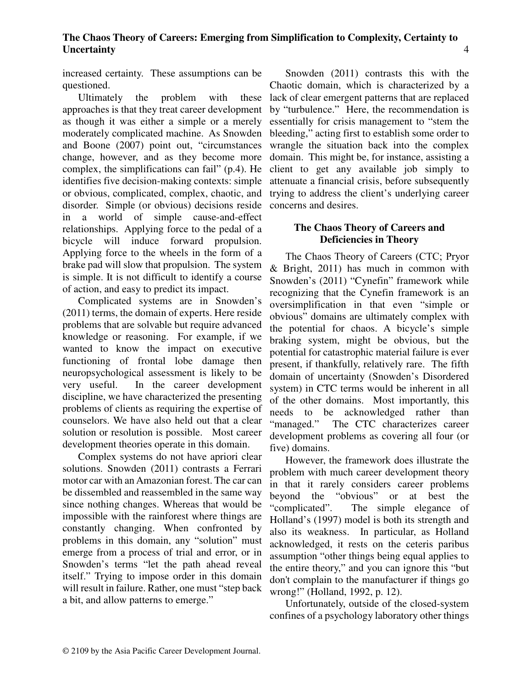increased certainty. These assumptions can be questioned.

Ultimately the problem with these approaches is that they treat career development as though it was either a simple or a merely moderately complicated machine. As Snowden and Boone (2007) point out, "circumstances change, however, and as they become more complex, the simplifications can fail" (p.4). He identifies five decision-making contexts: simple or obvious, complicated, complex, chaotic, and disorder. Simple (or obvious) decisions reside in a world of simple cause-and-effect relationships. Applying force to the pedal of a bicycle will induce forward propulsion. Applying force to the wheels in the form of a brake pad will slow that propulsion. The system is simple. It is not difficult to identify a course of action, and easy to predict its impact.

Complicated systems are in Snowden's (2011) terms, the domain of experts. Here reside problems that are solvable but require advanced knowledge or reasoning. For example, if we wanted to know the impact on executive functioning of frontal lobe damage then neuropsychological assessment is likely to be very useful. In the career development discipline, we have characterized the presenting problems of clients as requiring the expertise of counselors. We have also held out that a clear solution or resolution is possible. Most career development theories operate in this domain.

Complex systems do not have apriori clear solutions. Snowden (2011) contrasts a Ferrari motor car with an Amazonian forest. The car can be dissembled and reassembled in the same way since nothing changes. Whereas that would be impossible with the rainforest where things are constantly changing. When confronted by problems in this domain, any "solution" must emerge from a process of trial and error, or in Snowden's terms "let the path ahead reveal itself." Trying to impose order in this domain will result in failure. Rather, one must "step back a bit, and allow patterns to emerge."

Snowden (2011) contrasts this with the Chaotic domain, which is characterized by a lack of clear emergent patterns that are replaced by "turbulence." Here, the recommendation is essentially for crisis management to "stem the bleeding," acting first to establish some order to wrangle the situation back into the complex domain. This might be, for instance, assisting a client to get any available job simply to attenuate a financial crisis, before subsequently trying to address the client's underlying career concerns and desires.

#### **The Chaos Theory of Careers and Deficiencies in Theory**

The Chaos Theory of Careers (CTC; Pryor & Bright, 2011) has much in common with Snowden's (2011) "Cynefin" framework while recognizing that the Cynefin framework is an oversimplification in that even "simple or obvious" domains are ultimately complex with the potential for chaos. A bicycle's simple braking system, might be obvious, but the potential for catastrophic material failure is ever present, if thankfully, relatively rare. The fifth domain of uncertainty (Snowden's Disordered system) in CTC terms would be inherent in all of the other domains. Most importantly, this needs to be acknowledged rather than "managed." The CTC characterizes career development problems as covering all four (or five) domains.

However, the framework does illustrate the problem with much career development theory in that it rarely considers career problems beyond the "obvious" or at best the "complicated". The simple elegance of Holland's (1997) model is both its strength and also its weakness. In particular, as Holland acknowledged, it rests on the ceteris paribus assumption "other things being equal applies to the entire theory," and you can ignore this "but don't complain to the manufacturer if things go wrong!" (Holland, 1992, p. 12).

Unfortunately, outside of the closed-system confines of a psychology laboratory other things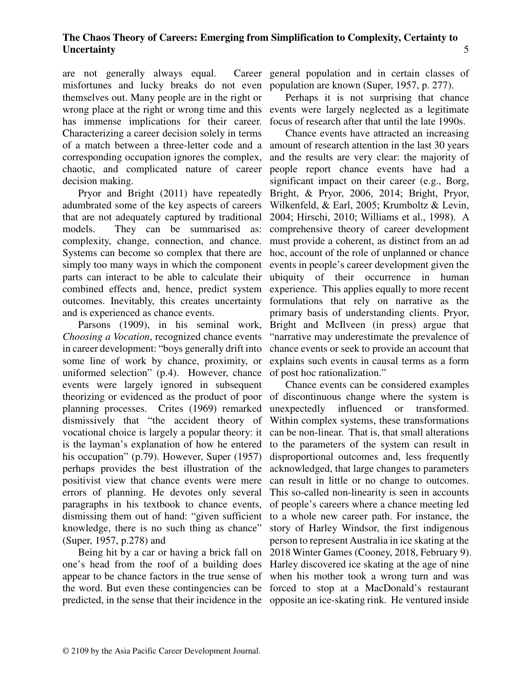are not generally always equal. misfortunes and lucky breaks do not even population are known (Super, 1957, p. 277). themselves out. Many people are in the right or wrong place at the right or wrong time and this events were largely neglected as a legitimate has immense implications for their career. Characterizing a career decision solely in terms of a match between a three-letter code and a amount of research attention in the last 30 years corresponding occupation ignores the complex, chaotic, and complicated nature of career decision making.

Pryor and Bright (2011) have repeatedly adumbrated some of the key aspects of careers that are not adequately captured by traditional models. They can be summarised as: complexity, change, connection, and chance. Systems can become so complex that there are simply too many ways in which the component parts can interact to be able to calculate their combined effects and, hence, predict system outcomes. Inevitably, this creates uncertainty and is experienced as chance events.

Parsons (1909), in his seminal work, *Choosing a Vocation*, recognized chance events in career development: "boys generally drift into some line of work by chance, proximity, or uniformed selection" (p.4). However, chance events were largely ignored in subsequent theorizing or evidenced as the product of poor planning processes. Crites (1969) remarked dismissively that "the accident theory of vocational choice is largely a popular theory: it is the layman's explanation of how he entered his occupation" (p.79). However, Super (1957) perhaps provides the best illustration of the positivist view that chance events were mere errors of planning. He devotes only several paragraphs in his textbook to chance events, dismissing them out of hand: "given sufficient knowledge, there is no such thing as chance" (Super, 1957, p.278) and

Being hit by a car or having a brick fall on one's head from the roof of a building does appear to be chance factors in the true sense of the word. But even these contingencies can be forced to stop at a MacDonald's restaurant

Career general population and in certain classes of

Perhaps it is not surprising that chance focus of research after that until the late 1990s.

Chance events have attracted an increasing and the results are very clear: the majority of people report chance events have had a significant impact on their career (e.g., Borg, Bright, & Pryor, 2006, 2014; Bright, Pryor, Wilkenfeld, & Earl, 2005; Krumboltz & Levin, 2004; Hirschi, 2010; Williams et al., 1998). A comprehensive theory of career development must provide a coherent, as distinct from an ad hoc, account of the role of unplanned or chance events in people's career development given the ubiquity of their occurrence in human experience. This applies equally to more recent formulations that rely on narrative as the primary basis of understanding clients. Pryor, Bright and McIlveen (in press) argue that "narrative may underestimate the prevalence of chance events or seek to provide an account that explains such events in causal terms as a form of post hoc rationalization."

predicted, in the sense that their incidence in the opposite an ice-skating rink. He ventured inside Chance events can be considered examples of discontinuous change where the system is unexpectedly influenced or transformed. Within complex systems, these transformations can be non-linear. That is, that small alterations to the parameters of the system can result in disproportional outcomes and, less frequently acknowledged, that large changes to parameters can result in little or no change to outcomes. This so-called non-linearity is seen in accounts of people's careers where a chance meeting led to a whole new career path. For instance, the story of Harley Windsor, the first indigenous person to represent Australia in ice skating at the 2018 Winter Games (Cooney, 2018, February 9). Harley discovered ice skating at the age of nine when his mother took a wrong turn and was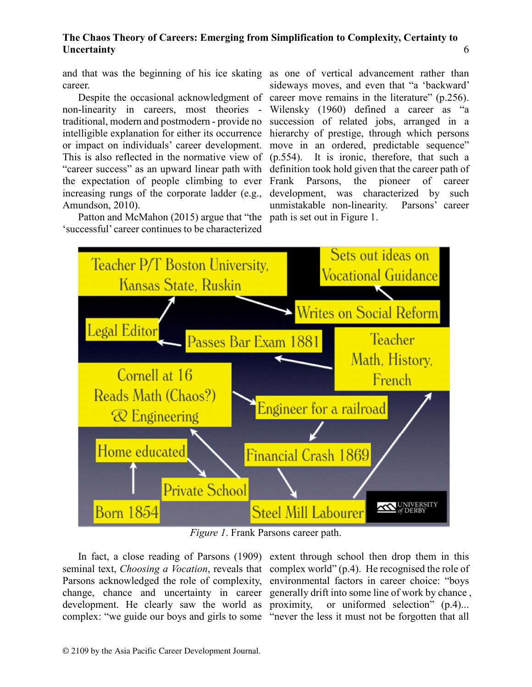career.

non-linearity in careers, most theories traditional, modern and postmodern - provide no increasing rungs of the corporate ladder (e.g., Amundson, 2010).

Patton and McMahon (2015) argue that "the path is set out in Figure 1. 'successful' career continues to be characterized

and that was the beginning of his ice skating as one of vertical advancement rather than Despite the occasional acknowledgment of career move remains in the literature" (p.256). intelligible explanation for either its occurrence hierarchy of prestige, through which persons or impact on individuals' career development. move in an ordered, predictable sequence" This is also reflected in the normative view of (p.554). It is ironic, therefore, that such a "career success" as an upward linear path with definition took hold given that the career path of the expectation of people climbing to ever Frank Parsons, the pioneer of career sideways moves, and even that "a 'backward' Wilensky (1960) defined a career as "a succession of related jobs, arranged in a development, was characterized by such unmistakable non-linearity. Parsons' career



*Figure 1*. Frank Parsons career path.

development. He clearly saw the world as proximity, complex: "we guide our boys and girls to some "never the less it must not be forgotten that all

In fact, a close reading of Parsons (1909) extent through school then drop them in this seminal text, *Choosing a Vocation*, reveals that complex world" (p.4). He recognised the role of Parsons acknowledged the role of complexity, environmental factors in career choice: "boys change, chance and uncertainty in career generally drift into some line of work by chance , or uniformed selection"  $(p.4)$ ...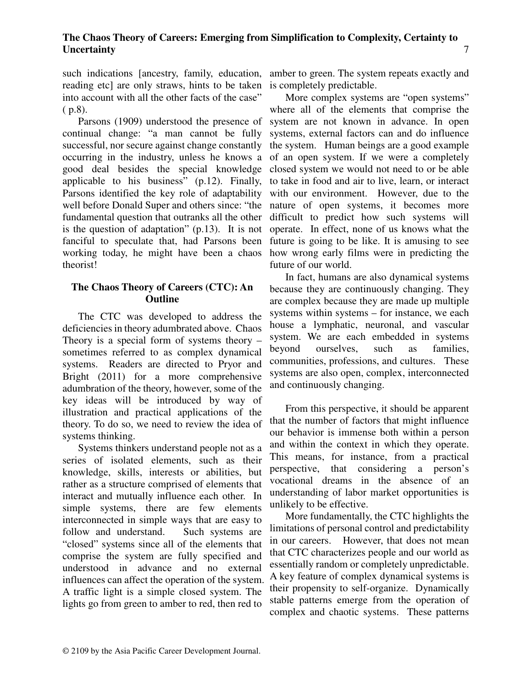reading etc] are only straws, hints to be taken into account with all the other facts of the case" ( p.8).

Parsons (1909) understood the presence of continual change: "a man cannot be fully successful, nor secure against change constantly occurring in the industry, unless he knows a of an open system. If we were a completely good deal besides the special knowledge applicable to his business" (p.12). Finally, Parsons identified the key role of adaptability well before Donald Super and others since: "the nature of open systems, it becomes more fundamental question that outranks all the other difficult to predict how such systems will is the question of adaptation" (p.13). It is not fanciful to speculate that, had Parsons been working today, he might have been a chaos theorist!

#### **The Chaos Theory of Careers (CTC): An Outline**

The CTC was developed to address the deficiencies in theory adumbrated above. Chaos Theory is a special form of systems theory – sometimes referred to as complex dynamical systems. Readers are directed to Pryor and Bright (2011) for a more comprehensive adumbration of the theory, however, some of the key ideas will be introduced by way of illustration and practical applications of the theory. To do so, we need to review the idea of systems thinking.

Systems thinkers understand people not as a series of isolated elements, such as their knowledge, skills, interests or abilities, but rather as a structure comprised of elements that interact and mutually influence each other. In simple systems, there are few elements interconnected in simple ways that are easy to follow and understand. Such systems are "closed" systems since all of the elements that comprise the system are fully specified and understood in advance and no external influences can affect the operation of the system. A traffic light is a simple closed system. The lights go from green to amber to red, then red to

such indications [ancestry, family, education, amber to green. The system repeats exactly and is completely predictable.

> More complex systems are "open systems" where all of the elements that comprise the system are not known in advance. In open systems, external factors can and do influence the system. Human beings are a good example closed system we would not need to or be able to take in food and air to live, learn, or interact with our environment. However, due to the operate. In effect, none of us knows what the future is going to be like. It is amusing to see how wrong early films were in predicting the future of our world.

> In fact, humans are also dynamical systems because they are continuously changing. They are complex because they are made up multiple systems within systems – for instance, we each house a lymphatic, neuronal, and vascular system. We are each embedded in systems beyond ourselves, such as families, communities, professions, and cultures. These systems are also open, complex, interconnected and continuously changing.

> From this perspective, it should be apparent that the number of factors that might influence our behavior is immense both within a person and within the context in which they operate. This means, for instance, from a practical perspective, that considering a person's vocational dreams in the absence of an understanding of labor market opportunities is unlikely to be effective.

> More fundamentally, the CTC highlights the limitations of personal control and predictability in our careers. However, that does not mean that CTC characterizes people and our world as essentially random or completely unpredictable. A key feature of complex dynamical systems is their propensity to self-organize. Dynamically stable patterns emerge from the operation of complex and chaotic systems. These patterns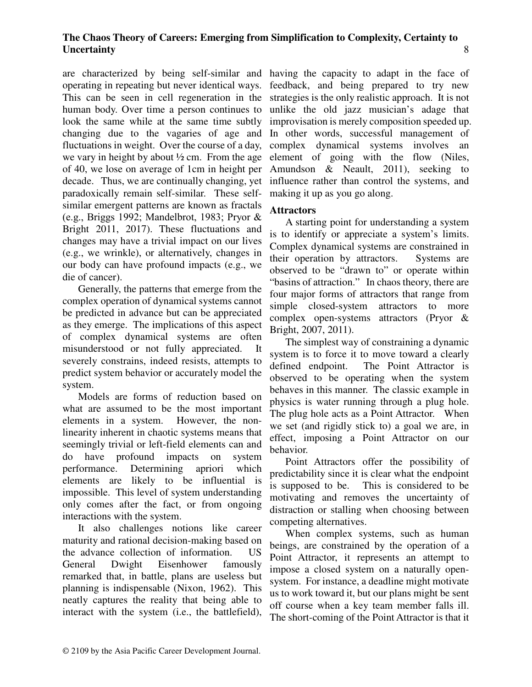are characterized by being self-similar and having the capacity to adapt in the face of operating in repeating but never identical ways. This can be seen in cell regeneration in the human body. Over time a person continues to look the same while at the same time subtly changing due to the vagaries of age and fluctuations in weight. Over the course of a day, we vary in height by about  $\frac{1}{2}$  cm. From the age of 40, we lose on average of 1cm in height per decade. Thus, we are continually changing, yet paradoxically remain self-similar. These selfsimilar emergent patterns are known as fractals (e.g., Briggs 1992; Mandelbrot, 1983; Pryor & Bright 2011, 2017). These fluctuations and changes may have a trivial impact on our lives (e.g., we wrinkle), or alternatively, changes in our body can have profound impacts (e.g., we die of cancer).

Generally, the patterns that emerge from the complex operation of dynamical systems cannot be predicted in advance but can be appreciated as they emerge. The implications of this aspect of complex dynamical systems are often misunderstood or not fully appreciated. It severely constrains, indeed resists, attempts to predict system behavior or accurately model the system.

Models are forms of reduction based on what are assumed to be the most important elements in a system. However, the nonlinearity inherent in chaotic systems means that seemingly trivial or left-field elements can and do have profound impacts on system performance. Determining apriori which elements are likely to be influential is impossible. This level of system understanding only comes after the fact, or from ongoing interactions with the system.

It also challenges notions like career maturity and rational decision-making based on the advance collection of information. US General Dwight Eisenhower famously remarked that, in battle, plans are useless but planning is indispensable (Nixon, 1962). This neatly captures the reality that being able to interact with the system (i.e., the battlefield),

feedback, and being prepared to try new strategies is the only realistic approach. It is not unlike the old jazz musician's adage that improvisation is merely composition speeded up. In other words, successful management of complex dynamical systems involves an element of going with the flow (Niles, Amundson & Neault, 2011), seeking to influence rather than control the systems, and making it up as you go along.

# **Attractors**

A starting point for understanding a system is to identify or appreciate a system's limits. Complex dynamical systems are constrained in their operation by attractors. Systems are observed to be "drawn to" or operate within "basins of attraction." In chaos theory, there are four major forms of attractors that range from simple closed-system attractors to more complex open-systems attractors (Pryor & Bright, 2007, 2011).

The simplest way of constraining a dynamic system is to force it to move toward a clearly defined endpoint. The Point Attractor is observed to be operating when the system behaves in this manner. The classic example in physics is water running through a plug hole. The plug hole acts as a Point Attractor. When we set (and rigidly stick to) a goal we are, in effect, imposing a Point Attractor on our behavior.

Point Attractors offer the possibility of predictability since it is clear what the endpoint is supposed to be. This is considered to be motivating and removes the uncertainty of distraction or stalling when choosing between competing alternatives.

When complex systems, such as human beings, are constrained by the operation of a Point Attractor, it represents an attempt to impose a closed system on a naturally opensystem. For instance, a deadline might motivate us to work toward it, but our plans might be sent off course when a key team member falls ill. The short-coming of the Point Attractor is that it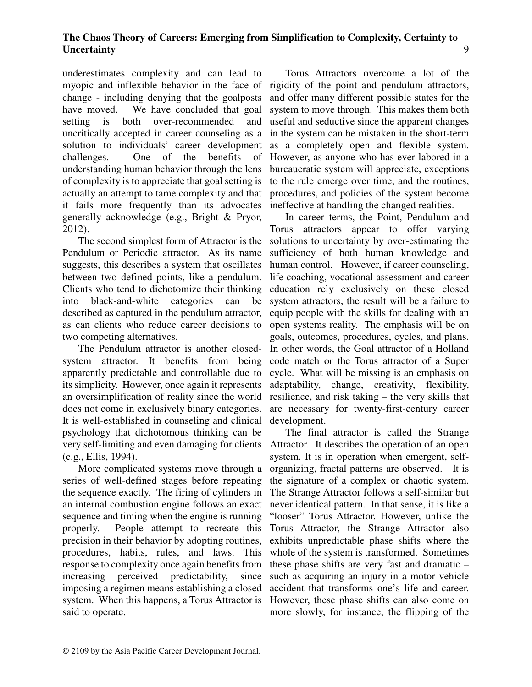underestimates complexity and can lead to myopic and inflexible behavior in the face of rigidity of the point and pendulum attractors, change - including denying that the goalposts have moved. We have concluded that goal setting is both over-recommended and uncritically accepted in career counseling as a solution to individuals' career development challenges. One of the benefits of understanding human behavior through the lens of complexity is to appreciate that goal setting is actually an attempt to tame complexity and that it fails more frequently than its advocates generally acknowledge (e.g., Bright & Pryor, 2012).

The second simplest form of Attractor is the Pendulum or Periodic attractor. As its name suggests, this describes a system that oscillates between two defined points, like a pendulum. Clients who tend to dichotomize their thinking into black-and-white categories can be described as captured in the pendulum attractor, as can clients who reduce career decisions to two competing alternatives.

The Pendulum attractor is another closedsystem attractor. It benefits from being apparently predictable and controllable due to its simplicity. However, once again it represents an oversimplification of reality since the world does not come in exclusively binary categories. It is well-established in counseling and clinical psychology that dichotomous thinking can be very self-limiting and even damaging for clients Attractor. It describes the operation of an open (e.g., Ellis, 1994).

More complicated systems move through a series of well-defined stages before repeating the sequence exactly. The firing of cylinders in an internal combustion engine follows an exact sequence and timing when the engine is running properly. People attempt to recreate this precision in their behavior by adopting routines, procedures, habits, rules, and laws. This response to complexity once again benefits from increasing perceived predictability, since imposing a regimen means establishing a closed system. When this happens, a Torus Attractor is However, these phase shifts can also come on said to operate.

Torus Attractors overcome a lot of the and offer many different possible states for the system to move through. This makes them both useful and seductive since the apparent changes in the system can be mistaken in the short-term as a completely open and flexible system. However, as anyone who has ever labored in a bureaucratic system will appreciate, exceptions to the rule emerge over time, and the routines, procedures, and policies of the system become ineffective at handling the changed realities.

In career terms, the Point, Pendulum and Torus attractors appear to offer varying solutions to uncertainty by over-estimating the sufficiency of both human knowledge and human control. However, if career counseling, life coaching, vocational assessment and career education rely exclusively on these closed system attractors, the result will be a failure to equip people with the skills for dealing with an open systems reality. The emphasis will be on goals, outcomes, procedures, cycles, and plans. In other words, the Goal attractor of a Holland code match or the Torus attractor of a Super cycle. What will be missing is an emphasis on adaptability, change, creativity, flexibility, resilience, and risk taking – the very skills that are necessary for twenty-first-century career development.

The final attractor is called the Strange system. It is in operation when emergent, selforganizing, fractal patterns are observed. It is the signature of a complex or chaotic system. The Strange Attractor follows a self-similar but never identical pattern. In that sense, it is like a "looser" Torus Attractor. However, unlike the Torus Attractor, the Strange Attractor also exhibits unpredictable phase shifts where the whole of the system is transformed. Sometimes these phase shifts are very fast and dramatic – such as acquiring an injury in a motor vehicle accident that transforms one's life and career. more slowly, for instance, the flipping of the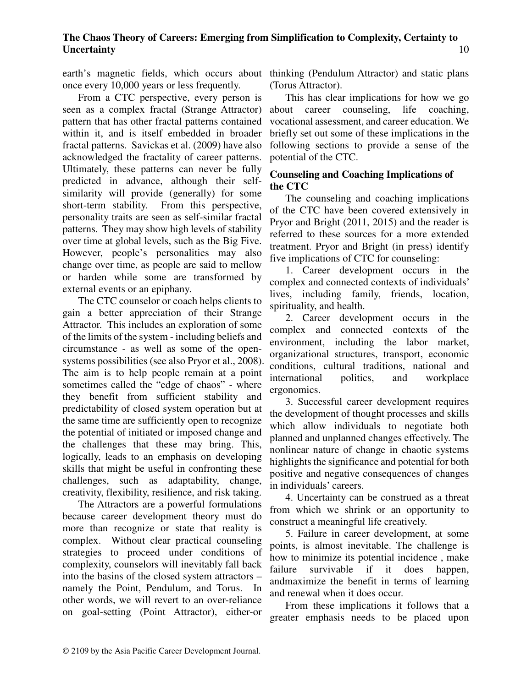once every 10,000 years or less frequently.

From a CTC perspective, every person is seen as a complex fractal (Strange Attractor) pattern that has other fractal patterns contained within it, and is itself embedded in broader fractal patterns. Savickas et al. (2009) have also acknowledged the fractality of career patterns. Ultimately, these patterns can never be fully predicted in advance, although their selfsimilarity will provide (generally) for some short-term stability. From this perspective, personality traits are seen as self-similar fractal patterns. They may show high levels of stability over time at global levels, such as the Big Five. However, people's personalities may also change over time, as people are said to mellow or harden while some are transformed by external events or an epiphany.

The CTC counselor or coach helps clients to gain a better appreciation of their Strange Attractor. This includes an exploration of some of the limits of the system - including beliefs and circumstance - as well as some of the opensystems possibilities (see also Pryor et al., 2008). The aim is to help people remain at a point sometimes called the "edge of chaos" - where they benefit from sufficient stability and predictability of closed system operation but at the same time are sufficiently open to recognize the potential of initiated or imposed change and the challenges that these may bring. This, logically, leads to an emphasis on developing skills that might be useful in confronting these challenges, such as adaptability, change, creativity, flexibility, resilience, and risk taking.

The Attractors are a powerful formulations because career development theory must do more than recognize or state that reality is complex. Without clear practical counseling strategies to proceed under conditions of complexity, counselors will inevitably fall back into the basins of the closed system attractors – namely the Point, Pendulum, and Torus. In other words, we will revert to an over-reliance on goal-setting (Point Attractor), either-or

earth's magnetic fields, which occurs about thinking (Pendulum Attractor) and static plans (Torus Attractor).

> This has clear implications for how we go about career counseling, life coaching, vocational assessment, and career education. We briefly set out some of these implications in the following sections to provide a sense of the potential of the CTC.

# **Counseling and Coaching Implications of the CTC**

The counseling and coaching implications of the CTC have been covered extensively in Pryor and Bright (2011, 2015) and the reader is referred to these sources for a more extended treatment. Pryor and Bright (in press) identify five implications of CTC for counseling:

1. Career development occurs in the complex and connected contexts of individuals' lives, including family, friends, location, spirituality, and health.

2. Career development occurs in the complex and connected contexts of the environment, including the labor market, organizational structures, transport, economic conditions, cultural traditions, national and international politics, and workplace ergonomics.

3. Successful career development requires the development of thought processes and skills which allow individuals to negotiate both planned and unplanned changes effectively. The nonlinear nature of change in chaotic systems highlights the significance and potential for both positive and negative consequences of changes in individuals' careers.

4. Uncertainty can be construed as a threat from which we shrink or an opportunity to construct a meaningful life creatively.

5. Failure in career development, at some points, is almost inevitable. The challenge is how to minimize its potential incidence , make failure survivable if it does happen, andmaximize the benefit in terms of learning and renewal when it does occur.

From these implications it follows that a greater emphasis needs to be placed upon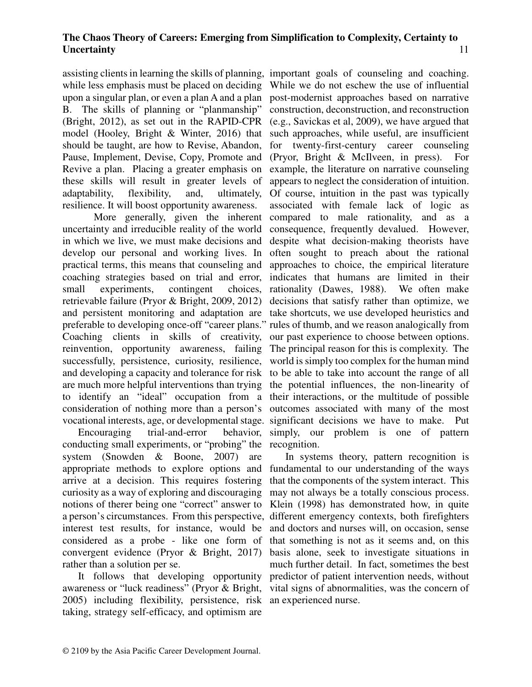assisting clients in learning the skills of planning, important goals of counseling and coaching. while less emphasis must be placed on deciding upon a singular plan, or even a plan A and a plan B. The skills of planning or "planmanship" (Bright, 2012), as set out in the RAPID-CPR model (Hooley, Bright & Winter, 2016) that should be taught, are how to Revise, Abandon, Pause, Implement, Devise, Copy, Promote and Revive a plan. Placing a greater emphasis on these skills will result in greater levels of adaptability, flexibility, and, ultimately, resilience. It will boost opportunity awareness.

uncertainty and irreducible reality of the world in which we live, we must make decisions and develop our personal and working lives. In practical terms, this means that counseling and coaching strategies based on trial and error, small experiments, contingent choices, retrievable failure (Pryor & Bright, 2009, 2012) and persistent monitoring and adaptation are take shortcuts, we use developed heuristics and preferable to developing once-off "career plans." rules of thumb, and we reason analogically from Coaching clients in skills of creativity, our past experience to choose between options. reinvention, opportunity awareness, failing successfully, persistence, curiosity, resilience, and developing a capacity and tolerance for risk are much more helpful interventions than trying to identify an "ideal" occupation from a consideration of nothing more than a person's

Encouraging trial-and-error behavior, conducting small experiments, or "probing" the recognition. system (Snowden & Boone, 2007) are appropriate methods to explore options and fundamental to our understanding of the ways arrive at a decision. This requires fostering curiosity as a way of exploring and discouraging notions of therer being one "correct" answer to a person's circumstances. From this perspective, different emergency contexts, both firefighters interest test results, for instance, would be considered as a probe - like one form of convergent evidence (Pryor & Bright, 2017) rather than a solution per se.

It follows that developing opportunity awareness or "luck readiness" (Pryor & Bright, 2005) including flexibility, persistence, risk an experienced nurse. taking, strategy self-efficacy, and optimism are

 More generally, given the inherent compared to male rationality, and as a vocational interests, age, or developmental stage. significant decisions we have to make. Put While we do not eschew the use of influential post-modernist approaches based on narrative construction, deconstruction, and reconstruction (e.g., Savickas et al, 2009), we have argued that such approaches, while useful, are insufficient for twenty-first-century career counseling (Pryor, Bright & McIlveen, in press). For example, the literature on narrative counseling appears to neglect the consideration of intuition. Of course, intuition in the past was typically associated with female lack of logic as consequence, frequently devalued. However, despite what decision-making theorists have often sought to preach about the rational approaches to choice, the empirical literature indicates that humans are limited in their rationality (Dawes, 1988). We often make decisions that satisfy rather than optimize, we The principal reason for this is complexity. The world is simply too complex for the human mind to be able to take into account the range of all the potential influences, the non-linearity of their interactions, or the multitude of possible outcomes associated with many of the most simply, our problem is one of pattern

> In systems theory, pattern recognition is that the components of the system interact. This may not always be a totally conscious process. Klein (1998) has demonstrated how, in quite and doctors and nurses will, on occasion, sense that something is not as it seems and, on this basis alone, seek to investigate situations in much further detail. In fact, sometimes the best predictor of patient intervention needs, without vital signs of abnormalities, was the concern of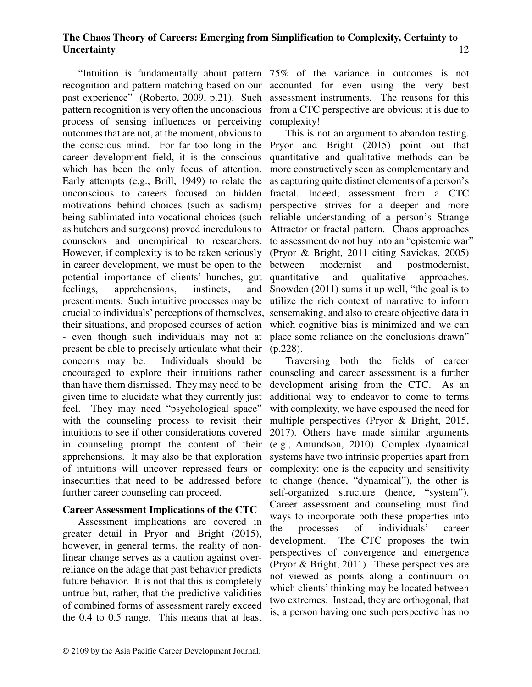recognition and pattern matching based on our past experience" (Roberto, 2009, p.21). Such pattern recognition is very often the unconscious process of sensing influences or perceiving complexity! outcomes that are not, at the moment, obvious to the conscious mind. For far too long in the Pryor and Bright (2015) point out that career development field, it is the conscious which has been the only focus of attention. Early attempts (e.g., Brill, 1949) to relate the unconscious to careers focused on hidden motivations behind choices (such as sadism) being sublimated into vocational choices (such reliable understanding of a person's Strange as butchers and surgeons) proved incredulous to counselors and unempirical to researchers. However, if complexity is to be taken seriously in career development, we must be open to the potential importance of clients' hunches, gut feelings, apprehensions, instincts, and presentiments. Such intuitive processes may be crucial to individuals' perceptions of themselves, sensemaking, and also to create objective data in their situations, and proposed courses of action - even though such individuals may not at place some reliance on the conclusions drawn" present be able to precisely articulate what their (p.228). concerns may be. Individuals should be encouraged to explore their intuitions rather than have them dismissed. They may need to be given time to elucidate what they currently just feel. They may need "psychological space" with the counseling process to revisit their intuitions to see if other considerations covered in counseling prompt the content of their apprehensions. It may also be that exploration of intuitions will uncover repressed fears or insecurities that need to be addressed before further career counseling can proceed.

#### **Career Assessment Implications of the CTC**

Assessment implications are covered in greater detail in Pryor and Bright (2015), however, in general terms, the reality of nonlinear change serves as a caution against overreliance on the adage that past behavior predicts future behavior. It is not that this is completely untrue but, rather, that the predictive validities of combined forms of assessment rarely exceed the 0.4 to 0.5 range. This means that at least

"Intuition is fundamentally about pattern 75% of the variance in outcomes is not accounted for even using the very best assessment instruments. The reasons for this from a CTC perspective are obvious: it is due to

> This is not an argument to abandon testing. quantitative and qualitative methods can be more constructively seen as complementary and as capturing quite distinct elements of a person's fractal. Indeed, assessment from a CTC perspective strives for a deeper and more Attractor or fractal pattern. Chaos approaches to assessment do not buy into an "epistemic war" (Pryor & Bright, 2011 citing Savickas, 2005) between modernist and postmodernist, quantitative and qualitative approaches. Snowden (2011) sums it up well, "the goal is to utilize the rich context of narrative to inform which cognitive bias is minimized and we can

Traversing both the fields of career counseling and career assessment is a further development arising from the CTC. As an additional way to endeavor to come to terms with complexity, we have espoused the need for multiple perspectives (Pryor & Bright, 2015, 2017). Others have made similar arguments (e.g., Amundson, 2010). Complex dynamical systems have two intrinsic properties apart from complexity: one is the capacity and sensitivity to change (hence, "dynamical"), the other is self-organized structure (hence, "system"). Career assessment and counseling must find ways to incorporate both these properties into the processes of individuals' career development. The CTC proposes the twin perspectives of convergence and emergence (Pryor & Bright, 2011). These perspectives are not viewed as points along a continuum on which clients' thinking may be located between two extremes. Instead, they are orthogonal, that is, a person having one such perspective has no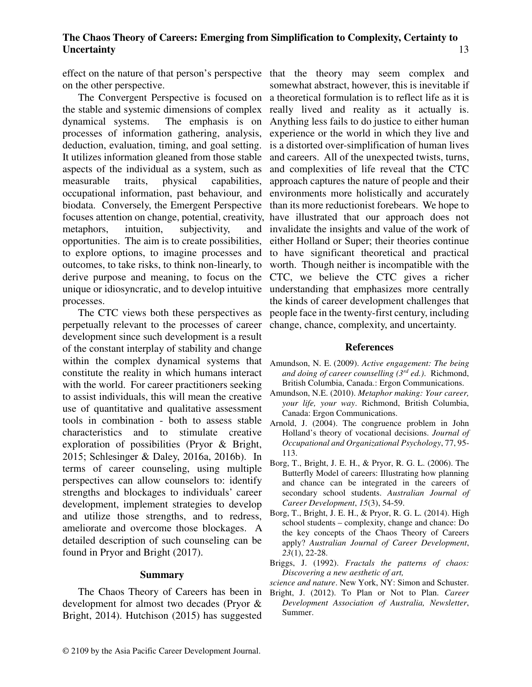on the other perspective.

the stable and systemic dimensions of complex dynamical systems. The emphasis is on processes of information gathering, analysis, deduction, evaluation, timing, and goal setting. It utilizes information gleaned from those stable aspects of the individual as a system, such as measurable traits, physical capabilities, occupational information, past behaviour, and biodata. Conversely, the Emergent Perspective focuses attention on change, potential, creativity, have illustrated that our approach does not metaphors, intuition, subjectivity, and opportunities. The aim is to create possibilities, to explore options, to imagine processes and outcomes, to take risks, to think non-linearly, to derive purpose and meaning, to focus on the CTC, we believe the CTC gives a richer unique or idiosyncratic, and to develop intuitive understanding that emphasizes more centrally processes.

The CTC views both these perspectives as perpetually relevant to the processes of career development since such development is a result of the constant interplay of stability and change within the complex dynamical systems that constitute the reality in which humans interact with the world. For career practitioners seeking to assist individuals, this will mean the creative use of quantitative and qualitative assessment tools in combination - both to assess stable characteristics and to stimulate creative exploration of possibilities (Pryor & Bright, 2015; Schlesinger & Daley, 2016a, 2016b). In terms of career counseling, using multiple perspectives can allow counselors to: identify strengths and blockages to individuals' career development, implement strategies to develop and utilize those strengths, and to redress, ameliorate and overcome those blockages. A detailed description of such counseling can be found in Pryor and Bright (2017).

#### **Summary**

The Chaos Theory of Careers has been in development for almost two decades (Pryor & Bright, 2014). Hutchison (2015) has suggested

effect on the nature of that person's perspective that the theory may seem complex and The Convergent Perspective is focused on a theoretical formulation is to reflect life as it is somewhat abstract, however, this is inevitable if really lived and reality as it actually is. Anything less fails to do justice to either human experience or the world in which they live and is a distorted over-simplification of human lives and careers. All of the unexpected twists, turns, and complexities of life reveal that the CTC approach captures the nature of people and their environments more holistically and accurately than its more reductionist forebears. We hope to invalidate the insights and value of the work of either Holland or Super; their theories continue to have significant theoretical and practical worth. Though neither is incompatible with the the kinds of career development challenges that people face in the twenty-first century, including change, chance, complexity, and uncertainty.

#### **References**

- Amundson, N. E. (2009). *Active engagement: The being and doing of career counselling (3rd ed.)*. Richmond, British Columbia, Canada.: Ergon Communications.
- Amundson, N.E. (2010). *Metaphor making: Your career, your life, your way*. Richmond, British Columbia, Canada: Ergon Communications.
- Arnold, J. (2004). The congruence problem in John Holland's theory of vocational decisions. *Journal of Occupational and Organizational Psychology*, 77, 95- 113.
- Borg, T., Bright, J. E. H., & Pryor, R. G. L. (2006). The Butterfly Model of careers: Illustrating how planning and chance can be integrated in the careers of secondary school students. *Australian Journal of Career Development*, *15*(3), 54-59.
- Borg, T., Bright, J. E. H., & Pryor, R. G. L. (2014). High school students – complexity, change and chance: Do the key concepts of the Chaos Theory of Careers apply? *Australian Journal of Career Development*, *23*(1), 22-28.
- Briggs, J. (1992). *Fractals the patterns of chaos: Discovering a new aesthetic of art,*

*science and nature*. New York, NY: Simon and Schuster.

Bright, J. (2012). To Plan or Not to Plan. *Career Development Association of Australia, Newsletter*, Summer.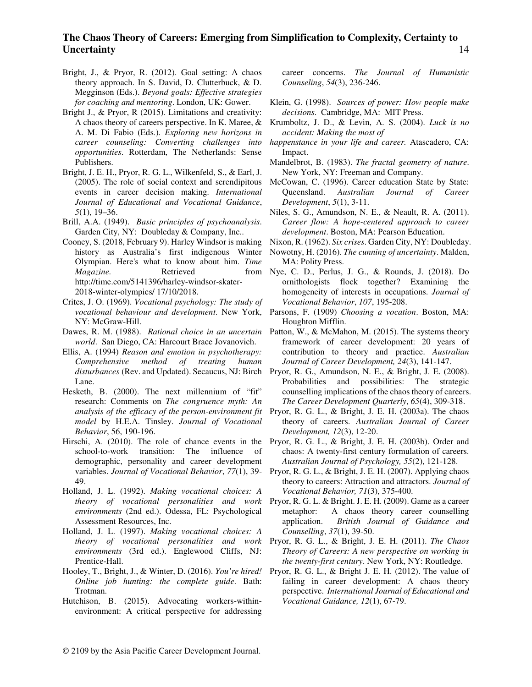- Bright, J., & Pryor, R. (2012). Goal setting: A chaos theory approach. In S. David, D. Clutterbuck, & D. Megginson (Eds.). *Beyond goals: Effective strategies for coaching and mentoring*. London, UK: Gower.
- Bright J., & Pryor, R (2015). Limitations and creativity: A chaos theory of careers perspective. In K. Maree, & A. M. Di Fabio (Eds*.*)*. Exploring new horizons in career counseling: Converting challenges into opportunities*. Rotterdam, The Netherlands: Sense Publishers.
- Bright, J. E. H., Pryor, R. G. L., Wilkenfeld, S., & Earl, J. (2005). The role of social context and serendipitous events in career decision making. *International Journal of Educational and Vocational Guidance*, *5*(1), 19–36.
- Brill, A.A. (1949). *Basic principles of psychoanalysis*. Garden City, NY: Doubleday & Company, Inc..
- Cooney, S. (2018, February 9). Harley Windsor is making history as Australia's first indigenous Winter Olympian. Here's what to know about him. *Time Magazine.* Retrieved http://time.com/5141396/harley-windsor-skater-2018-winter-olympics/ 17/10/2018.
- Crites, J. O. (1969). *Vocational psychology: The study of*  NY: McGraw-Hill.
- Dawes, R. M. (1988). *Rational choice in an uncertain*  Patton, W., & McMahon, M. (2015). The systems theory *world*. San Diego, CA: Harcourt Brace Jovanovich.
- Ellis, A. (1994) *Reason and emotion in psychotherapy: Comprehensive method of treating human disturbances* (Rev. and Updated). Secaucus, NJ: Birch Lane.
- Hesketh, B. (2000). The next millennium of "fit" research: Comments on *The congruence myth: An analysis of the efficacy of the person-environment fit model* by H.E.A. Tinsley. *Journal of Vocational Behavior*, 56, 190-196.
- Hirschi, A. (2010). The role of chance events in the school-to-work transition: The influence of demographic, personality and career development variables. *Journal of Vocational Behavior*, *77*(1), 39- 49.
- Holland, J. L. (1992). *Making vocational choices: A theory of vocational personalities and work environments* (2nd ed.). Odessa, FL: Psychological Assessment Resources, Inc.
- Holland, J. L. (1997). *Making vocational choices: A theory of vocational personalities and work environments* (3rd ed.). Englewood Cliffs, NJ: Prentice-Hall.
- Hooley, T., Bright, J., & Winter, D. (2016). *You're hired! Online job hunting: the complete guide*. Bath: Trotman.
- Hutchison, B. (2015). Advocating workers-withinenvironment: A critical perspective for addressing

career concerns. *The Journal of Humanistic Counseling*, *54*(3), 236-246.

- Klein, G. (1998). *Sources of power: How people make decisions*. Cambridge, MA: MIT Press.
- Krumboltz, J. D., & Levin, A. S. (2004). *Luck is no accident: Making the most of*
- *happenstance in your life and career.* Atascadero, CA: Impact.
- Mandelbrot, B. (1983). *The fractal geometry of nature*. New York, NY: Freeman and Company.
- McCowan, C. (1996). Career education State by State: Queensland. *Australian Journal of Career Development*, *5*(1), 3-11.
- Niles, S. G., Amundson, N. E., & Neault, R. A. (2011). *Career flow: A hope-centered approach to career development*. Boston, MA: Pearson Education.
- Nixon, R. (1962). *Six crises*. Garden City, NY: Doubleday.
- Nowotny, H. (2016). *The cunning of uncertainty*. Malden, MA: Polity Press.
- Nye, C. D., Perlus, J. G., & Rounds, J. (2018). Do ornithologists flock together? Examining the homogeneity of interests in occupations. *Journal of Vocational Behavior*, *107*, 195-208.
- *vocational behaviour and development*. New York, Parsons, F. (1909) *Choosing a vocation*. Boston, MA: Houghton Mifflin.
	- framework of career development: 20 years of contribution to theory and practice. *Australian Journal of Career Development, 24*(3), 141-147.
	- Pryor, R. G., Amundson, N. E., & Bright, J. E. (2008). Probabilities and possibilities: The strategic counselling implications of the chaos theory of careers. *The Career Development Quarterly*, *65*(4), 309-318.
	- Pryor, R. G. L., & Bright, J. E. H. (2003a). The chaos theory of careers. *Australian Journal of Career Development, 12*(3), 12-20.
	- Pryor, R. G. L., & Bright, J. E. H. (2003b). Order and chaos: A twenty-first century formulation of careers. *Australian Journal of Psychology, 55*(2), 121-128.
	- Pryor, R. G. L., & Bright, J. E. H. (2007). Applying chaos theory to careers: Attraction and attractors. *Journal of Vocational Behavior, 71*(3), 375-400.
	- Pryor, R. G. L. & Bright. J. E. H. (2009). Game as a career metaphor: A chaos theory career counselling application. *British Journal of Guidance and Counselling*, *37*(1), 39-50.
	- Pryor, R. G. L., & Bright, J. E. H. (2011). *The Chaos Theory of Careers: A new perspective on working in the twenty-first century*. New York, NY: Routledge.
	- Pryor, R. G. L., & Bright J. E. H. (2012). The value of failing in career development: A chaos theory perspective. *International Journal of Educational and Vocational Guidance, 12*(1), 67-79.